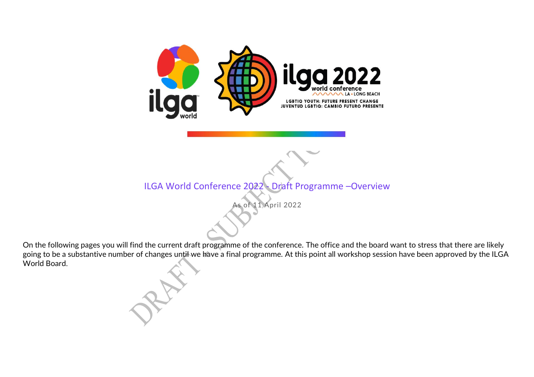

ILGA World Conference 2022 - Draft Programme –Overview

As of 11 April 2022

On the following pages you will find the current draft programme of the conference. The office and the board want to stress that there are likely going to be a substantive number of changes until we have a final programme. At this point all workshop session have been approved by the ILGA World Board.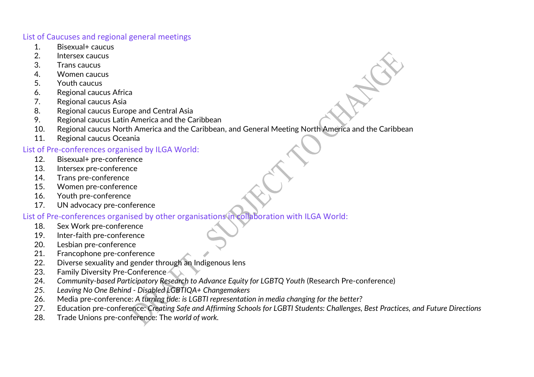#### List of Caucuses and regional general meetings

- 1. Bisexual+ caucus
- 2. Intersex caucus
- 3. Trans caucus
- 4. Women caucus
- 5. Youth caucus
- 6. Regional caucus Africa
- 7. Regional caucus Asia
- 8. Regional caucus Europe and Central Asia
- 9. Regional caucus Latin America and the Caribbean
- 10. Regional caucus North America and the Caribbean, and General Meeting North America and the Caribbean
- 11. Regional caucus Oceania

### List of Pre-conferences organised by ILGA World:

- 12. Bisexual+ pre-conference
- 13. Intersex pre-conference
- 14. Trans pre-conference
- 15. Women pre-conference
- 16. Youth pre-conference
- 17. UN advocacy pre-conference

### List of Pre-conferences organised by other organisations in collaboration with ILGA World:

- 18. Sex Work pre-conference
- 19. Inter-faith pre-conference
- 20. Lesbian pre-conference
- 21. Francophone pre-conference
- 22. Diverse sexuality and gender through an Indigenous lens
- 23. Family Diversity Pre-Conference
- 24. *Community-based Participatory Research to Advance Equity for LGBTQ Youth* (Research Pre-conference)
- *25. Leaving No One Behind - Disabled LGBTIQA+ Changemakers*
- 26. Media pre-conference: *A turning tide: is LGBTI representation in media changing for the better?*
- 27. Education pre-conference: *Creating Safe and Affirming Schools for LGBTI Students: Challenges, Best Practices, and Future Directions*
- 28. Trade Unions pre-conference: The *world of work.*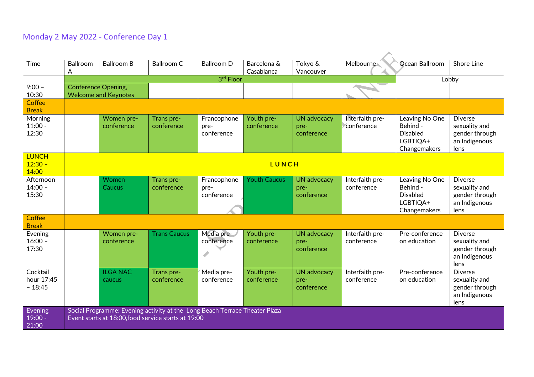# Monday 2 May 2022 - Conference Day 1

| Time                               | Ballroom<br>A                                             | <b>Ballroom B</b>         | Ballroom C                                                                                                                        | <b>Ballroom D</b>                 | Barcelona &<br>Casablanca | Tokyo &<br>Vancouver                     | Melbourne                     | Ocean Ballroom                                                            | Shore Line                                                                 |
|------------------------------------|-----------------------------------------------------------|---------------------------|-----------------------------------------------------------------------------------------------------------------------------------|-----------------------------------|---------------------------|------------------------------------------|-------------------------------|---------------------------------------------------------------------------|----------------------------------------------------------------------------|
|                                    |                                                           |                           |                                                                                                                                   | 3rd Floor                         |                           |                                          |                               |                                                                           | Lobby                                                                      |
| $9:00 -$<br>10:30                  | <b>Conference Opening,</b><br><b>Welcome and Keynotes</b> |                           |                                                                                                                                   |                                   |                           |                                          |                               |                                                                           |                                                                            |
| Coffee<br><b>Break</b>             |                                                           |                           |                                                                                                                                   |                                   |                           |                                          |                               |                                                                           |                                                                            |
| Morning<br>$11:00 -$<br>12:30      |                                                           | Women pre-<br>conference  | Trans pre-<br>conference                                                                                                          | Francophone<br>pre-<br>conference | Youth pre-<br>conference  | <b>UN advocacy</b><br>pre-<br>conference | Interfaith pre-<br>conference | Leaving No One<br>Behind -<br><b>Disabled</b><br>LGBTIQA+<br>Changemakers | <b>Diverse</b><br>sexuality and<br>gender through<br>an Indigenous<br>lens |
| <b>LUNCH</b><br>$12:30 -$<br>14:00 |                                                           |                           |                                                                                                                                   |                                   | LUNCH                     |                                          |                               |                                                                           |                                                                            |
| Afternoon<br>$14:00 -$<br>15:30    |                                                           | Women<br><b>Caucus</b>    | Trans pre-<br>conference                                                                                                          | Francophone<br>pre-<br>conference | <b>Youth Caucus</b>       | <b>UN advocacy</b><br>pre-<br>conference | Interfaith pre-<br>conference | Leaving No One<br>Behind -<br><b>Disabled</b><br>LGBTIQA+<br>Changemakers | <b>Diverse</b><br>sexuality and<br>gender through<br>an Indigenous<br>lens |
| Coffee<br><b>Break</b>             |                                                           |                           |                                                                                                                                   |                                   |                           |                                          |                               |                                                                           |                                                                            |
| Evening<br>$16:00 -$<br>17:30      |                                                           | Women pre-<br>conference  | <b>Trans Caucus</b>                                                                                                               | Media pre-<br>conference<br>I     | Youth pre-<br>conference  | <b>UN advocacy</b><br>pre-<br>conference | Interfaith pre-<br>conference | Pre-conference<br>on education                                            | <b>Diverse</b><br>sexuality and<br>gender through<br>an Indigenous<br>lens |
| Cocktail<br>hour 17:45<br>$-18:45$ |                                                           | <b>ILGA NAC</b><br>caucus | Trans pre-<br>conference                                                                                                          | Media pre-<br>conference          | Youth pre-<br>conference  | <b>UN advocacy</b><br>pre-<br>conference | Interfaith pre-<br>conference | Pre-conference<br>on education                                            | <b>Diverse</b><br>sexuality and<br>gender through<br>an Indigenous<br>lens |
| Evening<br>$19:00 -$<br>21:00      |                                                           |                           | Social Programme: Evening activity at the Long Beach Terrace Theater Plaza<br>Event starts at 18:00, food service starts at 19:00 |                                   |                           |                                          |                               |                                                                           |                                                                            |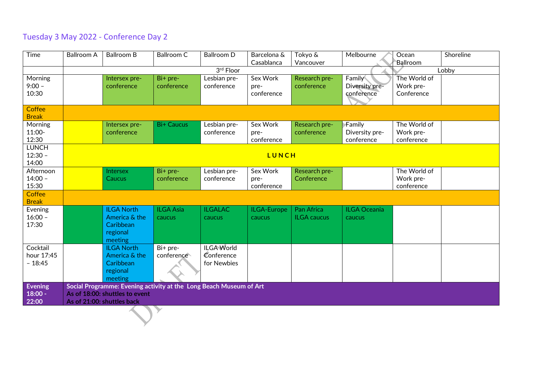# Tuesday 3 May 2022 - Conference Day 2

| Time                                 | <b>Ballroom A</b> | <b>Ballroom B</b>                                                                                                                  | <b>Ballroom C</b>                    | <b>Ballroom D</b>                              | Barcelona &<br>Casablanca      | Tokyo &<br>Vancouver             | Melbourne                              | Ocean<br>Ballroom                       | Shoreline |
|--------------------------------------|-------------------|------------------------------------------------------------------------------------------------------------------------------------|--------------------------------------|------------------------------------------------|--------------------------------|----------------------------------|----------------------------------------|-----------------------------------------|-----------|
|                                      |                   |                                                                                                                                    |                                      | 3rd Floor                                      |                                |                                  |                                        |                                         | Lobby     |
| Morning<br>$9:00 -$<br>10:30         |                   | Intersex pre-<br>conference                                                                                                        | Bi+ pre-<br>conference               | Lesbian pre-<br>conference                     | Sex Work<br>pre-<br>conference | Research pre-<br>conference      | Family<br>Diversity pre-<br>conference | The World of<br>Work pre-<br>Conference |           |
| Coffee<br><b>Break</b>               |                   |                                                                                                                                    |                                      |                                                |                                |                                  |                                        |                                         |           |
| Morning<br>11:00-<br>12:30           |                   | Intersex pre-<br>conference                                                                                                        | <b>Bi+ Caucus</b>                    | Lesbian pre-<br>conference                     | Sex Work<br>pre-<br>conference | Research pre-<br>conference      | Family<br>Diversity pre-<br>conference | The World of<br>Work pre-<br>conference |           |
| <b>LUNCH</b><br>$12:30 -$<br>14:00   |                   |                                                                                                                                    |                                      |                                                | LUNCH                          |                                  |                                        |                                         |           |
| Afternoon<br>$14:00 -$<br>15:30      |                   | Intersex<br><b>Caucus</b>                                                                                                          | Bi+ pre-<br>conference               | Lesbian pre-<br>conference                     | Sex Work<br>pre-<br>conference | Research pre-<br>Conference      |                                        | The World of<br>Work pre-<br>conference |           |
| Coffee<br><b>Break</b>               |                   |                                                                                                                                    |                                      |                                                |                                |                                  |                                        |                                         |           |
| Evening<br>$16:00 -$<br>17:30        |                   | <b>ILGA North</b><br>America & the<br>Caribbean<br>regional<br>meeting                                                             | <b>ILGA Asia</b><br>caucus           | <b>ILGALAC</b><br>caucus                       | ILGA-Europe<br><b>caucus</b>   | Pan Africa<br><b>ILGA</b> caucus | <b>ILGA Oceania</b><br>caucus          |                                         |           |
| Cocktail<br>hour 17:45<br>$-18:45$   |                   | <b>ILGA North</b><br>America & the<br>Caribbean<br>regional<br>meeting                                                             | $\overline{Bi}$ + pre-<br>conference | <b>ILGA World</b><br>Conference<br>for Newbies |                                |                                  |                                        |                                         |           |
| <b>Evening</b><br>$18:00 -$<br>22:00 |                   | Social Programme: Evening activity at the Long Beach Museum of Art<br>As of 18:00: shuttles to event<br>As of 21:00: shuttles back |                                      |                                                |                                |                                  |                                        |                                         |           |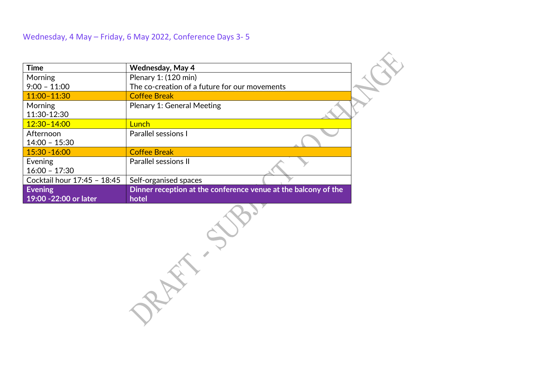### Wednesday, 4 May – Friday, 6 May 2022, Conference Days 3- 5

| <b>Time</b>                  | <b>Wednesday, May 4</b>                                        |
|------------------------------|----------------------------------------------------------------|
| Morning                      | Plenary 1: (120 min)                                           |
| $9:00 - 11:00$               | The co-creation of a future for our movements                  |
| $11:00 - 11:30$              | <b>Coffee Break</b>                                            |
| Morning<br>11:30-12:30       | Plenary 1: General Meeting                                     |
| $12:30 - 14:00$              | <u>Lunch</u>                                                   |
| Afternoon<br>$14:00 - 15:30$ | Parallel sessions I                                            |
| $15:30 - 16:00$              | <b>Coffee Break</b>                                            |
| Evening<br>$16:00 - 17:30$   | <b>Parallel sessions II</b>                                    |
| Cocktail hour 17:45 - 18:45  | Self-organised spaces                                          |
| <b>Evening</b>               | Dinner reception at the conference venue at the balcony of the |
| 19:00 -22:00 or later        | hotel                                                          |

RAY 500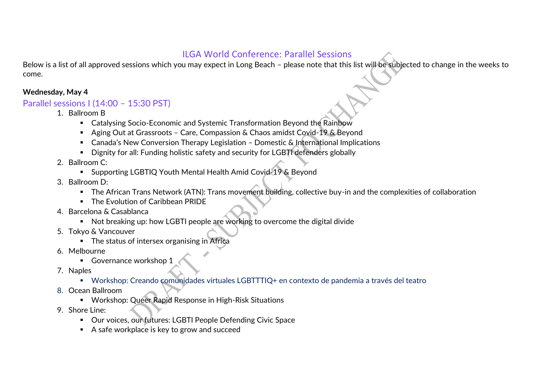## ILGA World Conference: Parallel Sessions

Below is a list of all approved sessions which you may expect in Long Beach – please note that this list will be subjected to change in the weeks to come.

#### **Wednesday, May 4**

### Parallel sessions I (14:00 – 15:30 PST)

- 1. Ballroom B
	- Catalysing Socio-Economic and Systemic Transformation Beyond the Rainbow
	- Aging Out at Grassroots Care, Compassion & Chaos amidst Covid-19 & Beyond
	- Canada's New Conversion Therapy Legislation Domestic & International Implications
	- Dignity for all: Funding holistic safety and security for LGBTI defenders globally
- 2. Ballroom C:
	- Supporting LGBTIQ Youth Mental Health Amid Covid-19 & Beyond
- 3. Ballroom D:
	- The African Trans Network (ATN): Trans movement building, collective buy-in and the complexities of collaboration
	- The Evolution of Caribbean PRIDE
- 4. Barcelona & Casablanca
	- Not breaking up: how LGBTI people are working to overcome the digital divide
- 5. Tokyo & Vancouver
	- The status of intersex organising in Africa
- 6. Melbourne
	- Governance workshop 1
- 7. Naples
	- Workshop: Creando comunidades virtuales LGBTTTIQ+ en contexto de pandemia a través del teatro
- 8. Ocean Ballroom
	- Workshop: Queer Rapid Response in High-Risk Situations
- 9. Shore Line:
	- Our voices, our futures: LGBTI People Defending Civic Space
	- A safe workplace is key to grow and succeed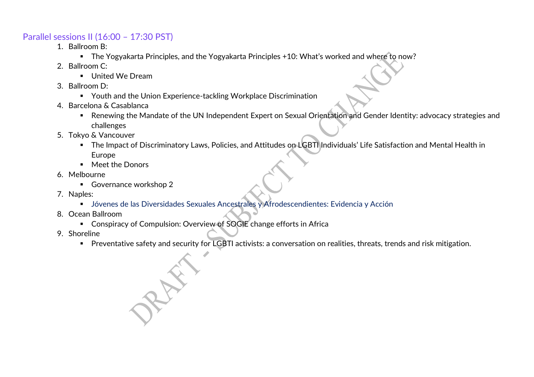## Parallel sessions II (16:00 – 17:30 PST)

- 1. Ballroom B:
	- The Yogyakarta Principles, and the Yogyakarta Principles +10: What's worked and where to now?
- 2. Ballroom C:
	- United We Dream
- 3. Ballroom D:
	- Youth and the Union Experience-tackling Workplace Discrimination
- 4. Barcelona & Casablanca
	- Renewing the Mandate of the UN Independent Expert on Sexual Orientation and Gender Identity: advocacy strategies and challenges
- 5. Tokyo & Vancouver
	- The Impact of Discriminatory Laws, Policies, and Attitudes on LGBTI Individuals' Life Satisfaction and Mental Health in Europe
	- Meet the Donors
- 6. Melbourne
	- Governance workshop 2
- 7. Naples:
	- Jóvenes de las Diversidades Sexuales Ancestrales y Afrodescendientes: Evidencia y Acción
- 8. Ocean Ballroom
	- Conspiracy of Compulsion: Overview of SOGIE change efforts in Africa
- 9. Shoreline
	- Preventative safety and security for LGBTI activists: a conversation on realities, threats, trends and risk mitigation.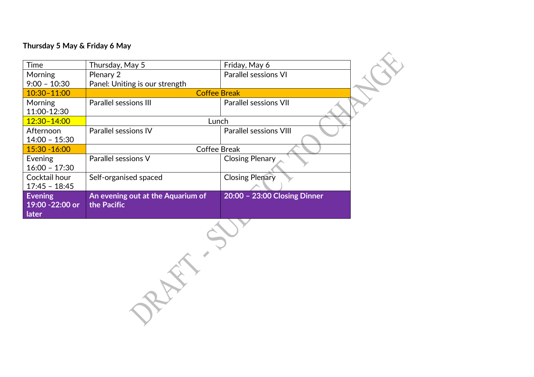#### **Thursday 5 May & Friday 6 May**

| Time                                       | Thursday, May 5                                  | Friday, May 6                 |  |  |  |
|--------------------------------------------|--------------------------------------------------|-------------------------------|--|--|--|
| <b>Morning</b>                             | Plenary 2                                        | <b>Parallel sessions VI</b>   |  |  |  |
| $9:00 - 10:30$                             | Panel: Uniting is our strength                   |                               |  |  |  |
| $10:30 - 11:00$                            |                                                  | <b>Coffee Break</b>           |  |  |  |
| Morning<br>11:00-12:30                     | Parallel sessions III                            | <b>Parallel sessions VII</b>  |  |  |  |
| 12:30-14:00                                | Lunch                                            |                               |  |  |  |
| Afternoon<br>$14:00 - 15:30$               | <b>Parallel sessions IV</b>                      | <b>Parallel sessions VIII</b> |  |  |  |
| 15:30 - 16:00                              |                                                  | <b>Coffee Break</b>           |  |  |  |
| Evening<br>$16:00 - 17:30$                 | Parallel sessions V                              | Closing Plenary               |  |  |  |
| Cocktail hour<br>$17:45 - 18:45$           | Self-organised spaced                            | <b>Closing Plenary</b>        |  |  |  |
| <b>Evening</b><br>19:00 -22:00 or<br>later | An evening out at the Aquarium of<br>the Pacific | 20:00 - 23:00 Closing Dinner  |  |  |  |

 $\mathcal{A}$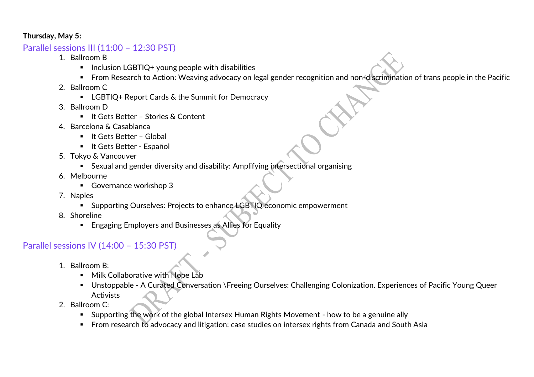#### **Thursday, May 5:**

## Parallel sessions III (11:00 – 12:30 PST)

- 1. Ballroom B
	- Inclusion LGBTIQ+ young people with disabilities
	- From Research to Action: Weaving advocacy on legal gender recognition and non-discrimination of trans people in the Pacific
- 2. Ballroom C
	- LGBTIQ+ Report Cards & the Summit for Democracy
- 3. Ballroom D
	- It Gets Better Stories & Content
- 4. Barcelona & Casablanca
	- It Gets Better Global
	- It Gets Better Español
- 5. Tokyo & Vancouver
	- Sexual and gender diversity and disability: Amplifying intersectional organising
- 6. Melbourne
	- Governance workshop 3
- 7. Naples
	- Supporting Ourselves: Projects to enhance LGBTIQ economic empowerment
- 8. Shoreline
	- Engaging Employers and Businesses as Allies for Equality

# Parallel sessions IV (14:00 – 15:30 PST)

- 1. Ballroom B:
	- Milk Collaborative with Hope Lab
	- Unstoppable A Curated Conversation \Freeing Ourselves: Challenging Colonization. Experiences of Pacific Young Queer Activists
- 2. Ballroom C:
	- Supporting the work of the global Intersex Human Rights Movement how to be a genuine ally
	- From research to advocacy and litigation: case studies on intersex rights from Canada and South Asia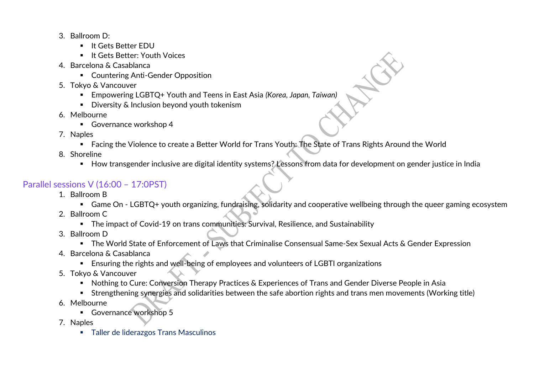- 3. Ballroom D:
	- It Gets Better EDU
	- It Gets Better: Youth Voices
- 4. Barcelona & Casablanca
	- Countering Anti-Gender Opposition
- 5. Tokyo & Vancouver
	- Empowering LGBTQ<sup>+</sup> Youth and Teens in East Asia *(Korea, Japan, Taiwan)*
	- Diversity & Inclusion beyond youth tokenism
- 6. Melbourne
	- Governance workshop 4
- 7. Naples
	- Facing the Violence to create a Better World for Trans Youth: The State of Trans Rights Around the World
- 8. Shoreline
	- How transgender inclusive are digital identity systems? Lessons from data for development on gender justice in India

# Parallel sessions V (16:00 – 17:0PST)

- 1. Ballroom B
	- Game On LGBTQ+ youth organizing, fundraising, solidarity and cooperative wellbeing through the queer gaming ecosystem
- 2. Ballroom C
	- The impact of Covid-19 on trans communities: Survival, Resilience, and Sustainability
- 3. Ballroom D
	- The World State of Enforcement of Laws that Criminalise Consensual Same-Sex Sexual Acts & Gender Expression
- 4. Barcelona & Casablanca
	- **Ensuring the rights and well-being of employees and volunteers of LGBTI organizations**
- 5. Tokyo & Vancouver
	- Nothing to Cure: Conversion Therapy Practices & Experiences of Trans and Gender Diverse People in Asia
	- Strengthening synergies and solidarities between the safe abortion rights and trans men movements (Working title)
- 6. Melbourne
	- Governance workshop 5
- 7. Naples
	- Taller de liderazgos Trans Masculinos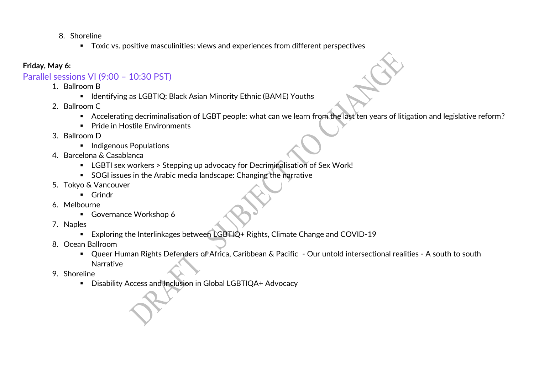- 8. Shoreline
	- Toxic vs. positive masculinities: views and experiences from different perspectives

### **Friday, May 6:**

## Parallel sessions VI (9:00 – 10:30 PST)

- 1. Ballroom B
	- Identifying as LGBTIQ: Black Asian Minority Ethnic (BAME) Youths
- 2. Ballroom C
	- Accelerating decriminalisation of LGBT people: what can we learn from the last ten years of litigation and legislative reform?
	- Pride in Hostile Environments
- 3. Ballroom D
	- **·** Indigenous Populations
- 4. Barcelona & Casablanca
	- LGBTI sex workers > Stepping up advocacy for Decriminalisation of Sex Work!
	- SOGI issues in the Arabic media landscape: Changing the narrative
- 5. Tokyo & Vancouver
	- Grindr
- 6. Melbourne
	- Governance Workshop 6
- 7. Naples
	- Exploring the Interlinkages between LGBTIQ+ Rights, Climate Change and COVID-19
- 8. Ocean Ballroom
	- Queer Human Rights Defenders of Africa, Caribbean & Pacific Our untold intersectional realities A south to south Narrative
- 9. Shoreline
	- Disability Access and Inclusion in Global LGBTIQA+ Advocacy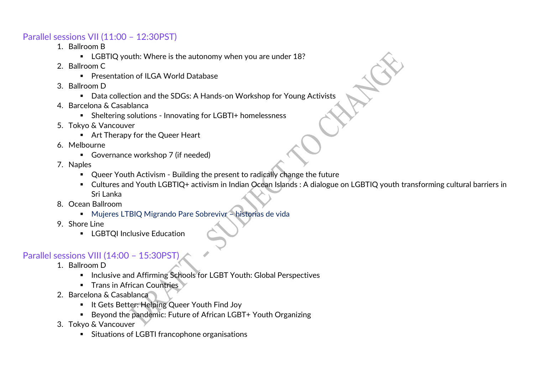### Parallel sessions VII (11:00 – 12:30PST)

- 1. Ballroom B
	- LGBTIQ youth: Where is the autonomy when you are under 18?
- 2. Ballroom C
	- **·** Presentation of II GA World Database
- 3. Ballroom D
	- Data collection and the SDGs: A Hands-on Workshop for Young Activists
- 4. Barcelona & Casablanca
	- Sheltering solutions Innovating for LGBTI+ homelessness
- 5. Tokyo & Vancouver
	- Art Therapy for the Queer Heart
- 6. Melbourne
	- Governance workshop 7 (if needed)
- 7. Naples
	- Queer Youth Activism Building the present to radically change the future
	- Cultures and Youth LGBTIQ+ activism in Indian Ocean Islands : A dialogue on LGBTIQ youth transforming cultural barriers in Sri Lanka
- 8. Ocean Ballroom
	- Mujeres LTBIQ Migrando Pare Sobrevivr historias de vida
- 9. Shore Line
	- **E** LGBTQI Inclusive Education

## Parallel sessions VIII (14:00 – 15:30PST)

- 1. Ballroom D
	- Inclusive and Affirming Schools for LGBT Youth: Global Perspectives
	- Trans in African Countries
- 2. Barcelona & Casablanca
	- **■** It Gets Better: Helping Queer Youth Find Joy
	- Beyond the pandemic: Future of African LGBT+ Youth Organizing
- 3. Tokyo & Vancouver
	- Situations of LGBTI francophone organisations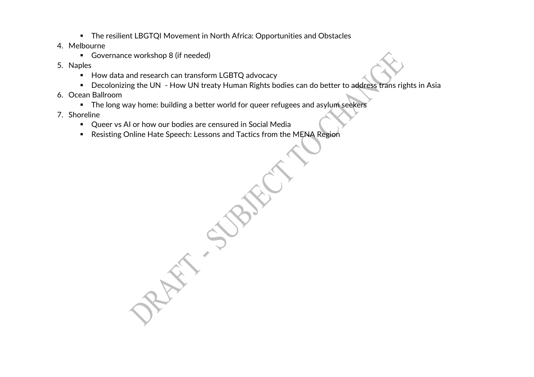- The resilient LBGTQI Movement in North Africa: Opportunities and Obstacles
- 4. Melbourne
	- Governance workshop 8 (if needed)
- 5. Naples
	- How data and research can transform LGBTQ advocacy
	- Decolonizing the UN How UN treaty Human Rights bodies can do better to address trans rights in Asia
- 6. Ocean Ballroom
	- **EXTE:** The long way home: building a better world for queer refugees and asylum seekers
- 7. Shoreline
	- Queer vs AI or how our bodies are censured in Social Media
	- Resisting Online Hate Speech: Lessons and Tactics from the MENA Region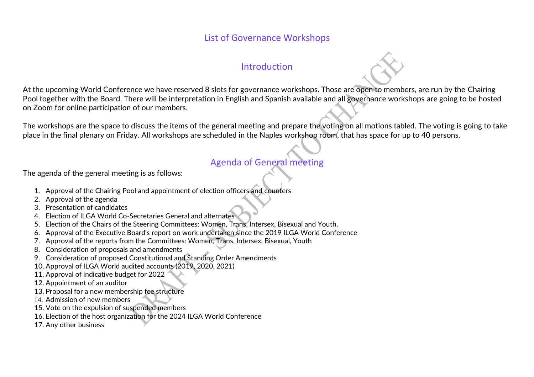### List of Governance Workshops

### Introduction

At the upcoming World Conference we have reserved 8 slots for governance workshops. Those are open to members, are run by the Chairing Pool together with the Board. There will be interpretation in English and Spanish available and all governance workshops are going to be hosted on Zoom for online participation of our members.

The workshops are the space to discuss the items of the general meeting and prepare the voting on all motions tabled. The voting is going to take place in the final plenary on Friday. All workshops are scheduled in the Naples workshop room, that has space for up to 40 persons.

# Agenda of General meeting

The agenda of the general meeting is as follows:

- 1. Approval of the Chairing Pool and appointment of election officers and counters
- 2. Approval of the agenda
- 3. Presentation of candidates
- 4. Election of ILGA World Co-Secretaries General and alternates
- 5. Election of the Chairs of the Steering Committees: Women, Trans, Intersex, Bisexual and Youth.
- 6. Approval of the Executive Board's report on work undertaken since the 2019 ILGA World Conference
- 7. Approval of the reports from the Committees: Women, Trans, Intersex, Bisexual, Youth
- 8. Consideration of proposals and amendments
- 9. Consideration of proposed Constitutional and Standing Order Amendments
- 10. Approval of ILGA World audited accounts (2019, 2020, 2021)
- 11. Approval of indicative budget for 2022
- 12. Appointment of an auditor
- 13. Proposal for a new membership fee structure
- 14. Admission of new members
- 15. Vote on the expulsion of suspended members
- 16. Election of the host organization for the 2024 ILGA World Conference
- 17. Any other business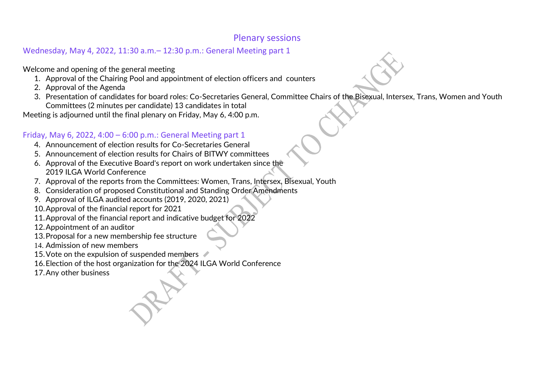### Plenary sessions

## Wednesday, May 4, 2022, 11:30 a.m.– 12:30 p.m.: General Meeting part 1

Welcome and opening of the general meeting

- 1. Approval of the Chairing Pool and appointment of election officers and counters
- 2. Approval of the Agenda
- 3. Presentation of candidates for board roles: Co-Secretaries General, Committee Chairs of the Bisexual, Intersex, Trans, Women and Youth Committees (2 minutes per candidate) 13 candidates in total

Meeting is adjourned until the final plenary on Friday, May 6, 4:00 p.m.

## Friday, May 6, 2022, 4:00 – 6:00 p.m.: General Meeting part 1

- 4. Announcement of election results for Co-Secretaries General
- 5. Announcement of election results for Chairs of BITWY committees
- 6. Approval of the Executive Board's report on work undertaken since the 2019 ILGA World Conference
- 7. Approval of the reports from the Committees: Women, Trans, Intersex, Bisexual, Youth
- 8. Consideration of proposed Constitutional and Standing Order Amendments
- 9. Approval of ILGA audited accounts (2019, 2020, 2021)
- 10.Approval of the financial report for 2021
- 11.Approval of the financial report and indicative budget for 2022
- 12.Appointment of an auditor
- 13.Proposal for a new membership fee structure
- 14. Admission of new members
- 15. Vote on the expulsion of suspended members
- 16.Election of the host organization for the 2024 ILGA World Conference
- 17.Any other business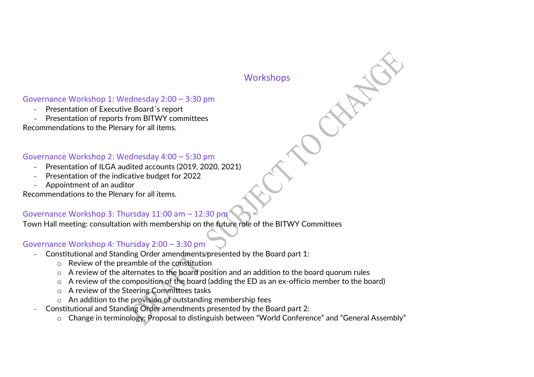### **Workshops**

### Governance Workshop 1: Wednesday 2:00 – 3:30 pm

- Presentation of Executive Board´s report
- Presentation of reports from BITWY committees

Recommendations to the Plenary for all items.

#### Governance Workshop 2: Wednesday 4:00 – 5:30 pm

- Presentation of ILGA audited accounts (2019, 2020, 2021)
- Presentation of the indicative budget for 2022
- Appointment of an auditor

Recommendations to the Plenary for all items.

#### Governance Workshop 3: Thursday 11:00 am – 12:30 pm

Town Hall meeting: consultation with membership on the future role of the BITWY Committees

#### Governance Workshop 4: Thursday 2:00 – 3:30 pm

- Constitutional and Standing Order amendments presented by the Board part 1:
	- o Review of the preamble of the constitution
	- o A review of the alternates to the board position and an addition to the board quorum rules
	- o A review of the composition of the board (adding the ED as an ex-officio member to the board)
	- o A review of the Steering Committees tasks
	- o An addition to the provision of outstanding membership fees
- Constitutional and Standing Order amendments presented by the Board part 2:
	- o Change in terminology: Proposal to distinguish between "World Conference" and "General Assembly"